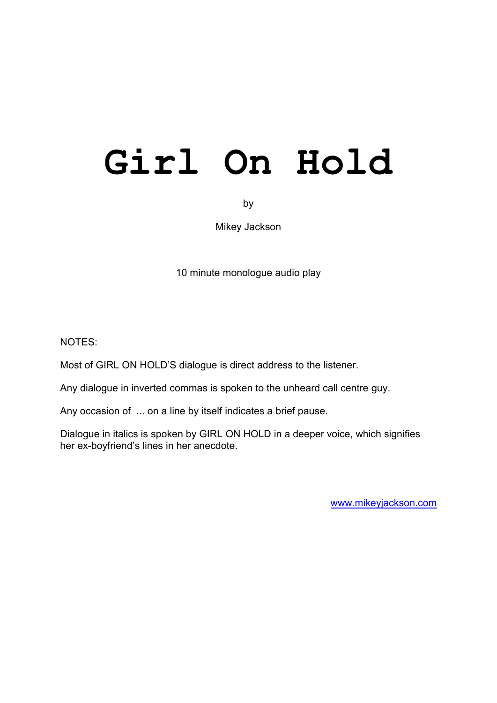# **Girl On Hold**

by

Mikey Jackson

10 minute monologue audio play

NOTES:

Most of GIRL ON HOLD'S dialogue is direct address to the listener.

Any dialogue in inverted commas is spoken to the unheard call centre guy.

Any occasion of ... on a line by itself indicates a brief pause.

Dialogue in italics is spoken by GIRL ON HOLD in a deeper voice, which signifies her ex-boyfriend's lines in her anecdote.

[www.mikeyjackson.com](http://www.mikeyjackson.com/)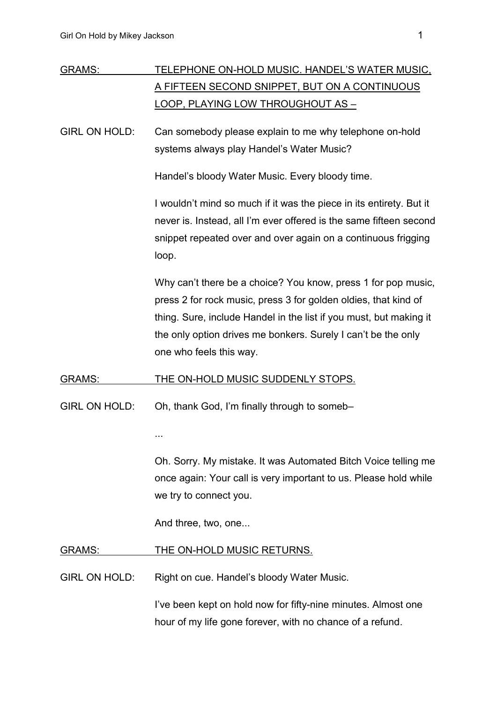| <b>GRAMS:</b>        | <u>TELEPHONE ON-HOLD MUSIC. HANDEL'S WATER MUSIC,</u>                                    |
|----------------------|------------------------------------------------------------------------------------------|
|                      | A FIFTEEN SECOND SNIPPET, BUT ON A CONTINUOUS                                            |
|                      | <u>LOOP, PLAYING LOW THROUGHOUT AS -</u>                                                 |
| <b>GIRL ON HOLD:</b> | Can somebody please explain to me why telephone on-hold                                  |
|                      | systems always play Handel's Water Music?                                                |
|                      | Handel's bloody Water Music. Every bloody time.                                          |
|                      | I wouldn't mind so much if it was the piece in its entirety. But it                      |
|                      | never is. Instead, all I'm ever offered is the same fifteen second                       |
|                      | snippet repeated over and over again on a continuous frigging<br>loop.                   |
|                      | Why can't there be a choice? You know, press 1 for pop music,                            |
|                      | press 2 for rock music, press 3 for golden oldies, that kind of                          |
|                      | thing. Sure, include Handel in the list if you must, but making it                       |
|                      | the only option drives me bonkers. Surely I can't be the only<br>one who feels this way. |
|                      |                                                                                          |
| <b>GRAMS:</b>        | <u>THE ON-HOLD MUSIC SUDDENLY STOPS.</u>                                                 |
| <b>GIRL ON HOLD:</b> | Oh, thank God, I'm finally through to someb-                                             |
|                      | $\cdots$                                                                                 |
|                      | Oh. Sorry. My mistake. It was Automated Bitch Voice telling me                           |
|                      | once again: Your call is very important to us. Please hold while                         |
|                      | we try to connect you.                                                                   |
|                      | And three, two, one                                                                      |
| GRAMS:               | <u>THE ON-HOLD MUSIC RETURNS.</u>                                                        |
| GIRL ON HOLD:        | Right on cue. Handel's bloody Water Music.                                               |
|                      | I've been kept on hold now for fifty-nine minutes. Almost one                            |
|                      | hour of my life gone forever, with no chance of a refund.                                |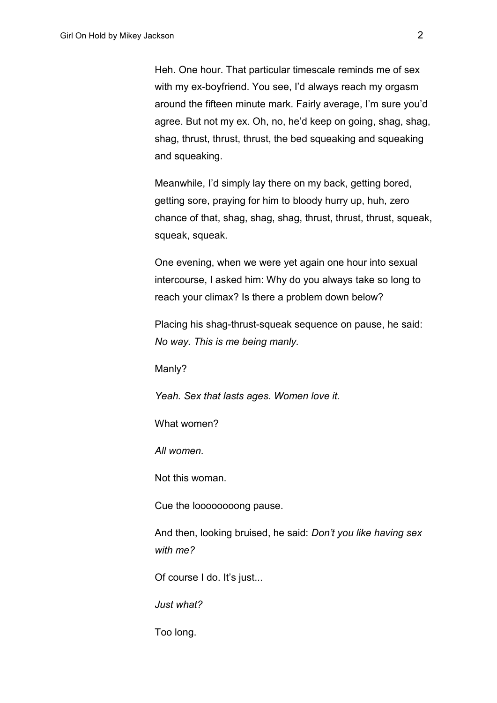Heh. One hour. That particular timescale reminds me of sex with my ex-boyfriend. You see, I'd always reach my orgasm around the fifteen minute mark. Fairly average, I'm sure you'd agree. But not my ex. Oh, no, he'd keep on going, shag, shag, shag, thrust, thrust, thrust, the bed squeaking and squeaking and squeaking.

Meanwhile, I'd simply lay there on my back, getting bored, getting sore, praying for him to bloody hurry up, huh, zero chance of that, shag, shag, shag, thrust, thrust, thrust, squeak, squeak, squeak.

One evening, when we were yet again one hour into sexual intercourse, I asked him: Why do you always take so long to reach your climax? Is there a problem down below?

Placing his shag-thrust-squeak sequence on pause, he said: *No way. This is me being manly.*

Manly?

*Yeah. Sex that lasts ages. Women love it.*

What women?

*All women.*

Not this woman.

Cue the loooooooong pause.

And then, looking bruised, he said: *Don't you like having sex with me?*

Of course I do. It's just...

*Just what?*

Too long.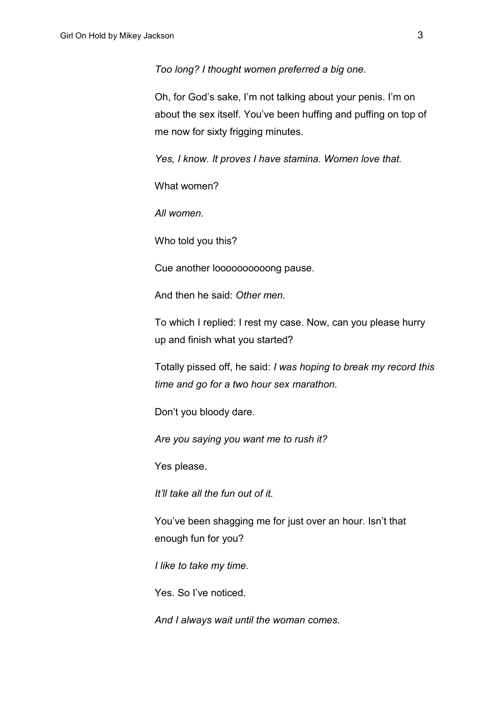*Too long? I thought women preferred a big one.*

Oh, for God's sake, I'm not talking about your penis. I'm on about the sex itself. You've been huffing and puffing on top of me now for sixty frigging minutes.

*Yes, I know. It proves I have stamina. Women love that.*

What women?

*All women.*

Who told you this?

Cue another loooooooooong pause.

And then he said: *Other men.*

To which I replied: I rest my case. Now, can you please hurry up and finish what you started?

Totally pissed off, he said: *I was hoping to break my record this time and go for a two hour sex marathon.*

Don't you bloody dare.

*Are you saying you want me to rush it?*

Yes please.

*It'll take all the fun out of it.*

You've been shagging me for just over an hour. Isn't that enough fun for you?

*I like to take my time.*

Yes. So I've noticed.

*And I always wait until the woman comes.*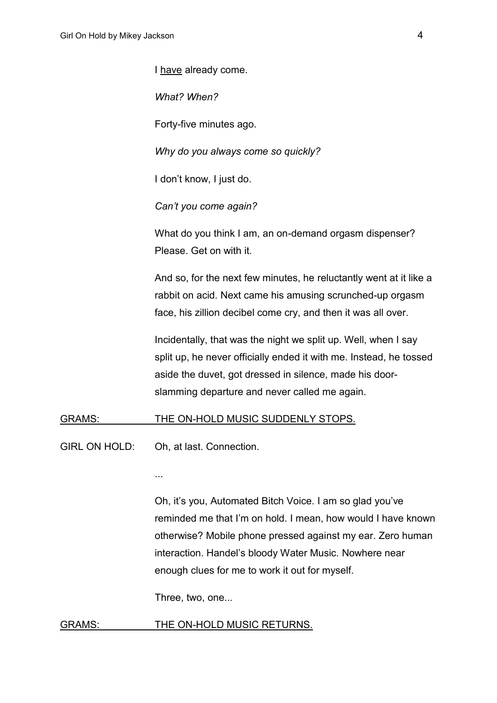I have already come.

*What? When?*

Forty-five minutes ago.

*Why do you always come so quickly?*

I don't know, I just do.

*Can't you come again?*

What do you think I am, an on-demand orgasm dispenser? Please. Get on with it.

And so, for the next few minutes, he reluctantly went at it like a rabbit on acid. Next came his amusing scrunched-up orgasm face, his zillion decibel come cry, and then it was all over.

Incidentally, that was the night we split up. Well, when I say split up, he never officially ended it with me. Instead, he tossed aside the duvet, got dressed in silence, made his doorslamming departure and never called me again.

## GRAMS: THE ON-HOLD MUSIC SUDDENLY STOPS.

GIRL ON HOLD: Oh, at last. Connection.

...

Oh, it's you, Automated Bitch Voice. I am so glad you've reminded me that I'm on hold. I mean, how would I have known otherwise? Mobile phone pressed against my ear. Zero human interaction. Handel's bloody Water Music. Nowhere near enough clues for me to work it out for myself.

Three, two, one...

## GRAMS: THE ON-HOLD MUSIC RETURNS.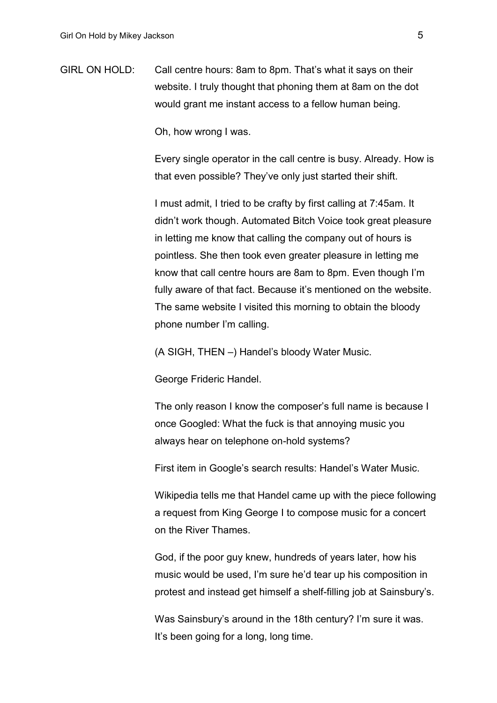GIRL ON HOLD: Call centre hours: 8am to 8pm. That's what it says on their website. I truly thought that phoning them at 8am on the dot would grant me instant access to a fellow human being.

Oh, how wrong I was.

Every single operator in the call centre is busy. Already. How is that even possible? They've only just started their shift.

I must admit, I tried to be crafty by first calling at 7:45am. It didn't work though. Automated Bitch Voice took great pleasure in letting me know that calling the company out of hours is pointless. She then took even greater pleasure in letting me know that call centre hours are 8am to 8pm. Even though I'm fully aware of that fact. Because it's mentioned on the website. The same website I visited this morning to obtain the bloody phone number I'm calling.

(A SIGH, THEN –) Handel's bloody Water Music.

George Frideric Handel.

The only reason I know the composer's full name is because I once Googled: What the fuck is that annoying music you always hear on telephone on-hold systems?

First item in Google's search results: Handel's Water Music.

Wikipedia tells me that Handel came up with the piece following a request from King George I to compose music for a concert on the River Thames.

God, if the poor guy knew, hundreds of years later, how his music would be used, I'm sure he'd tear up his composition in protest and instead get himself a shelf-filling job at Sainsbury's.

Was Sainsbury's around in the 18th century? I'm sure it was. It's been going for a long, long time.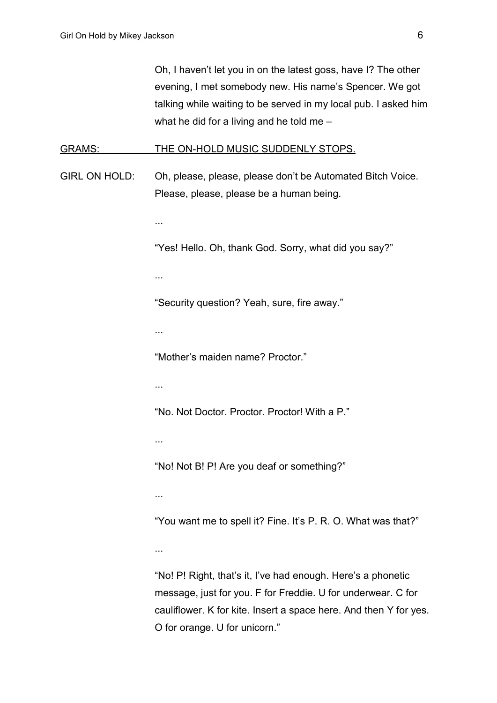Oh, I haven't let you in on the latest goss, have I? The other evening, I met somebody new. His name's Spencer. We got talking while waiting to be served in my local pub. I asked him what he did for a living and he told me –

#### GRAMS: THE ON-HOLD MUSIC SUDDENLY STOPS.

GIRL ON HOLD: Oh, please, please, please don't be Automated Bitch Voice. Please, please, please be a human being.

...

"Yes! Hello. Oh, thank God. Sorry, what did you say?"

...

"Security question? Yeah, sure, fire away."

...

"Mother's maiden name? Proctor."

...

"No. Not Doctor. Proctor. Proctor! With a P."

...

"No! Not B! P! Are you deaf or something?"

...

"You want me to spell it? Fine. It's P. R. O. What was that?"

...

"No! P! Right, that's it, I've had enough. Here's a phonetic message, just for you. F for Freddie. U for underwear. C for cauliflower. K for kite. Insert a space here. And then Y for yes. O for orange. U for unicorn."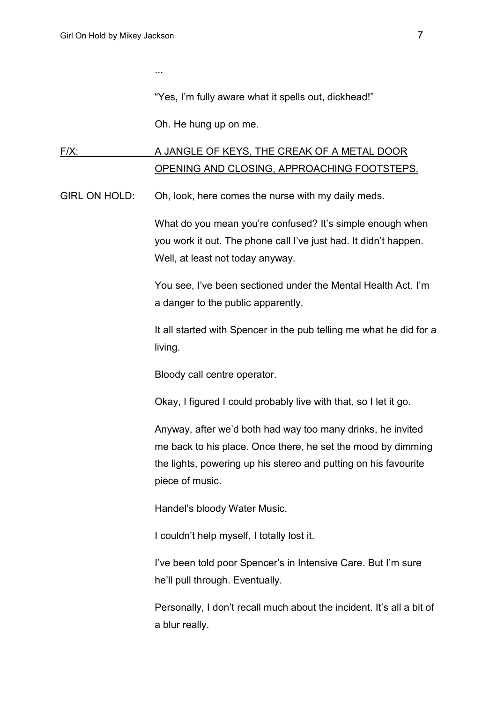...

"Yes, I'm fully aware what it spells out, dickhead!"

Oh. He hung up on me.

# F/X: A JANGLE OF KEYS, THE CREAK OF A METAL DOOR OPENING AND CLOSING, APPROACHING FOOTSTEPS.

GIRL ON HOLD: Oh, look, here comes the nurse with my daily meds.

What do you mean you're confused? It's simple enough when you work it out. The phone call I've just had. It didn't happen. Well, at least not today anyway.

You see, I've been sectioned under the Mental Health Act. I'm a danger to the public apparently.

It all started with Spencer in the pub telling me what he did for a living.

Bloody call centre operator.

Okay, I figured I could probably live with that, so I let it go.

Anyway, after we'd both had way too many drinks, he invited me back to his place. Once there, he set the mood by dimming the lights, powering up his stereo and putting on his favourite piece of music.

Handel's bloody Water Music.

I couldn't help myself, I totally lost it.

I've been told poor Spencer's in Intensive Care. But I'm sure he'll pull through. Eventually.

Personally, I don't recall much about the incident. It's all a bit of a blur really.